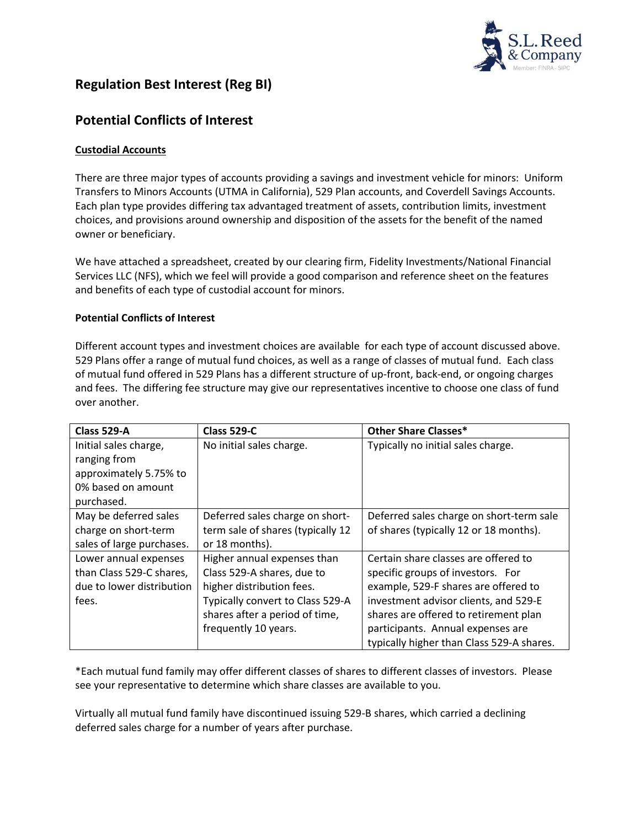

# **Regulation Best Interest (Reg BI)**

## **Potential Conflicts of Interest**

### **Custodial Accounts**

There are three major types of accounts providing a savings and investment vehicle for minors: Uniform Transfers to Minors Accounts (UTMA in California), 529 Plan accounts, and Coverdell Savings Accounts. Each plan type provides differing tax advantaged treatment of assets, contribution limits, investment choices, and provisions around ownership and disposition of the assets for the benefit of the named owner or beneficiary.

We have attached a spreadsheet, created by our clearing firm, Fidelity Investments/National Financial Services LLC (NFS), which we feel will provide a good comparison and reference sheet on the features and benefits of each type of custodial account for minors.

### **Potential Conflicts of Interest**

Different account types and investment choices are available for each type of account discussed above. 529 Plans offer a range of mutual fund choices, as well as a range of classes of mutual fund. Each class of mutual fund offered in 529 Plans has a different structure of up-front, back-end, or ongoing charges and fees. The differing fee structure may give our representatives incentive to choose one class of fund over another.

| Class 529-A               | <b>Class 529-C</b>                | <b>Other Share Classes*</b>               |
|---------------------------|-----------------------------------|-------------------------------------------|
| Initial sales charge,     | No initial sales charge.          | Typically no initial sales charge.        |
| ranging from              |                                   |                                           |
| approximately 5.75% to    |                                   |                                           |
| 0% based on amount        |                                   |                                           |
| purchased.                |                                   |                                           |
| May be deferred sales     | Deferred sales charge on short-   | Deferred sales charge on short-term sale  |
| charge on short-term      | term sale of shares (typically 12 | of shares (typically 12 or 18 months).    |
| sales of large purchases. | or 18 months).                    |                                           |
| Lower annual expenses     | Higher annual expenses than       | Certain share classes are offered to      |
| than Class 529-C shares,  | Class 529-A shares, due to        | specific groups of investors. For         |
| due to lower distribution | higher distribution fees.         | example, 529-F shares are offered to      |
| fees.                     | Typically convert to Class 529-A  | investment advisor clients, and 529-E     |
|                           | shares after a period of time,    | shares are offered to retirement plan     |
|                           | frequently 10 years.              | participants. Annual expenses are         |
|                           |                                   | typically higher than Class 529-A shares. |

\*Each mutual fund family may offer different classes of shares to different classes of investors. Please see your representative to determine which share classes are available to you.

Virtually all mutual fund family have discontinued issuing 529-B shares, which carried a declining deferred sales charge for a number of years after purchase.